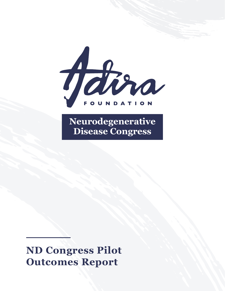

**Neurodegenerative Disease Congress**

**ND Congress Pilot Outcomes Report**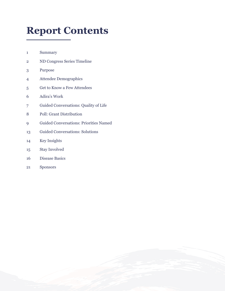# **Report Contents**

Summary

- ND Congress Series Timeline
- Purpose
- Attendee Demographics
- Get to Know a Few Attendees
- Adira's Work
- Guided Conversations: Quality of Life
- Poll: Grant Distribution
- 9 Guided Conversations: Priorities Named
- Guided Conversations: Solutions
- Key Insights
- Stay Involved
- Disease Basics
- Sponsors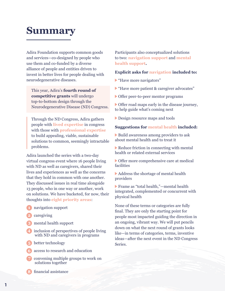# **Summary**

Adira Foundation supports common goods and services—co-designed by people who use them and co-funded by a diverse alliance of people and entities driven to invest in better lives for people dealing with neurodegenerative diseases.

This year, Adira's **fourth round of competitive grants** will undergo top-to-bottom design through the Neurodegenerative Disease (ND) Congress.

Through the ND Congress, Adira gathers people with **lived expertise** in congress with those with **professional expertise** to build appealing, viable, sustainable solutions to common, seemingly intractable problems.

Adira launched the series with a two-day virtual congress event where 16 people living with ND as well as caregivers, shared their lives and experiences as well as the concerns that they hold in common with one another. They discussed issues in real time alongside 13 people, who in one way or another, work on solutions. We have bucketed, for now, their thoughts into **eight priority areas**:

- navigation support
- caregiving
- mental health support
- **4** inclusion of perspectives of people living with ND and caregivers in programs
- better technology
- access to research and education
- convening multiple groups to work on solutions together
- financial assistance

Participants also conceptualized solutions to two: **navigation support** and **mental health support.** 

#### **Explicit asks for navigation included to:**

- "Have more navigators"
- "Have more patient & caregiver advocates"
- Offer peer-to-peer mentor programs

 Offer road maps early in the disease journey, to help guide what's coming next

Design resource maps and tools

#### **Suggestions for mental health included:**

 Build awareness among providers to ask about mental health and to treat it

 Reduce friction in connecting with mental health or related external services

 Offer more comprehensive care at medical facilities

 Address the shortage of mental health providers

 Frame as "total health,"—mental health integrated, complemented or concurrent with physical health

None of these terms or categories are fully final. They are only the starting point for people most impacted guiding the direction in an ongoing, vibrant way. We will put pencils down on what the next round of grants looks like—in terms of categories, terms, inventive ideas—after the next event in the ND Congress Series.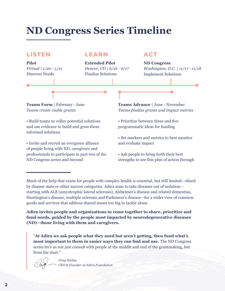# **ND Congress Series Timeline**

### **LISTEN LEARN ACT**

**Pilot** *Virtual | 1/20 - 1/21* Discover Needs

**Extended Pilot** *Denver, CO | 6/16 - 6/17* Finalize Solutions

**ND Congress** *Washington, D.C. | 11/17 - 11/18* Implement Solutions

**Teams Form** | February - June *Teams create viable grants*

• Build teams to volley potential solutions and use evidence to build and grow these informed solutions

• Invite and recruit an evergreen alliance of people living with ND, caregivers and professionals to participate in part two of the ND Congress series and beyond

**Teams Advance** | June - November *Teams finalize grants and impact metrics*

- Prioritize between three and five programmatic ideas for funding
- Set markers and metrics to best monitor and evaluate impact

• Ask people to bring forth their best strengths to see this plan of action through

Much of the help that exists for people with complex health is essential, but still limited—siloed by disease state or other narrow categories. Adira aims to take diseases out of isolation starting with ALS (amyotrophic lateral sclerosis), Alzheimer's disease and related dementias, Huntington's disease, multiple sclerosis and Parkinson's disease—for a wider view of common goods and services that address shared issues too big to tackle alone.

**Adira invites people and organizations to come together to share, prioritize and fund needs, guided by the people most impacted by neurodegenerative diseases (ND)—those living with them and caregivers.**

"**At Adira we ask people what they need but aren't getting, then fund what's most important to them in easier ways they can find and use.** The ND Congress series let's us not just consult with people at the middle and end of the grantmaking, but from the start."



*Greg Smiley CEO & Founder of Adira Foundation*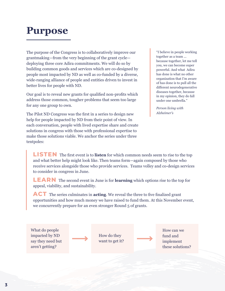# **Purpose**

The purpose of the Congress is to collaboratively improve our grantmaking—from the very beginning of the grant cycle deploying three core Adira commitments. We will do so by building common goods and services which are co-designed by people most impacted by ND as well as co-funded by a diverse, wide-ranging alliance of people and entities driven to invest in better lives for people with ND.

Our goal is to reveal new grants for qualified non-profits which address those common, tougher problems that seem too large for any one group to own.

The Pilot ND Congress was the first in a series to design new help for people impacted by ND from their point of view. In each conversation, people with lived expertise share and create solutions in congress with those with professional expertise to make those solutions viable. We anchor the series under three tentpoles:

"I believe in people working together as a team ... because together, let me tell you, we can become super powerful. And what Adira has done is what no other organization that I'm aware of has done is to pull all the different neurodegenerative diseases together, because in my opinion, they do fall under one umbrella."

*Person living with Alzheimer's*

**LISTEN** The first event is to **listen** for which common needs seem to rise to the top and what better help might look like. Then teams form—again composed by those who receive services alongside those who provide services. Teams volley and co-design services to consider in congress in June.

**LEARN** The second event in June is for **learning** which options rise to the top for appeal, viability, and sustainability.

**ACT** The series culminates in **acting**. We reveal the three to five finalized grant opportunities and how much money we have raised to fund them. At this November event, we concurrently prepare for an even stronger Round 5 of grants.

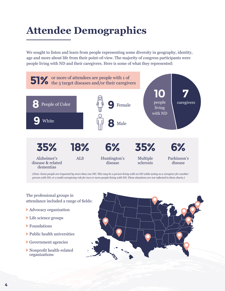# **Attendee Demographics**

We sought to listen and learn from people representing some diversity in geography, identity, age and more about life from their point-of-view. The majority of congress participants were people living with ND and their caregivers. Here is some of what they represented:



*(Note: Some people are impacted by more than one ND. This may be a person living with an ND while acting as a caregiver for another person with ND, or a multi-caregiving role for two or more people living with ND. These situations are not reflected in these charts.)*

The professional groups in attendance included a range of fields:

- Advocacy organization
- Life science groups
- Foundations
- Public health universities
- Government agencies
- Nonprofit health-related organizations

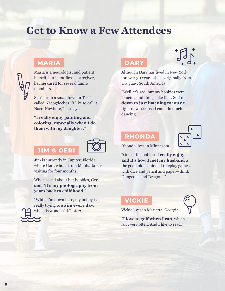# **Get to Know a Few Attendees**

## **MARIA**

Maria is a neurologist and patient herself, but identifies as caregiver, having cared for several family members.

She's from a small town in Texas called Nacogdoches. "I like to call it Naco-Nowhere," she says.

**"I really enjoy painting and coloring, especially when I do them with my daughter."**

### **JIM & GERI**



Jim is currently in Jupiter, Florida where Geri, who is from Manhattan, is visiting for four months.

When asked about her hobbies, Geri said, "**it's my photography from years back to childhood.**"

"While I'm down here, my hobby is really trying to **swim every day**, which is wonderful." -*Jim*

### **DARY**

 $\sqrt{\frac{1}{6}}$ 

Although Dary has lived in New York for over 30 years, she is originally from Uruguay, South America.

"Well, it's sad, but my hobbies were dancing and things like that. So I'm **down to just listening to music** right now because I can't do much dancing."

### **RHONDA**



Rhonda lives in Minnesota.

"One of the hobbies I **really enjoy and it's how I met my husband** is the good old fashioned roleplay games with dice and pencil and paper—think Dungeons and Dragons."

### **VICKIE**



Vickie lives in Marietta, Georgia.

"**I love to golf when I can**, which isn't very often. And I like to read."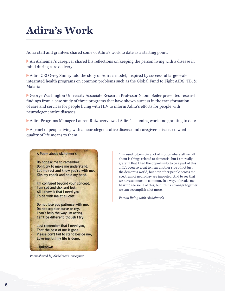# **Adira's Work**

Adira staff and grantees shared some of Adira's work to date as a starting point:

An Alzheimer's caregiver shared his reflections on keeping the person living with a disease in mind during care delivery

Adira CEO Greg Smiley told the story of Adira's model, inspired by successful large-scale integrated health programs on common problems such as the Global Fund to Fight AIDS, TB, & Malaria

George Washington University Associate Research Professor Naomi Seiler presented research findings from a case study of three programs that have shown success in the transformation of care and services for people living with HIV to inform Adira's efforts for people with neurodegenerative diseases

Adira Programs Manager Lauren Ruiz overviewed Adira's listening work and granting to date

A panel of people living with a neurodegenerative disease and caregivers discussed what quality of life means to them

#### A Poem about Alzheimer's

Do not ask me to remember. Don't try to make me understand. Let me rest and know you're with me. Kiss my cheek and hold my hand.

I'm confused beyond your concept. I am sad and sick and lost. All I know is that I need you To be with me at all cost.

Do not lose you patience with me. Do not scold or curse or cry. I can't help the way I'm acting, Can't be different 'though I try.

Just remember that I need you, That the best of me is gone. Please don't fail to stand beside me, Love me 'till my life is done.

- Unknown

Poem shared by Alzheimer's caregiver

"I'm used to being in a lot of groups where all we talk about is things related to dementia, but I am really grateful that I had the opportunity to be a part of this ... It's been so great to hear another side of not just the dementia world, but how other people across the spectrum of neurology are impacted. And to see that we have so much in common. In a way, it breaks my heart to see some of this, but I think stronger together we can accomplish a lot more.

*Person living with Alzheimer's*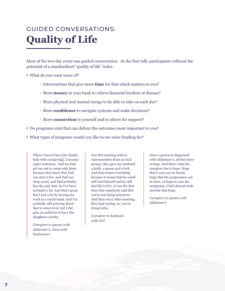# GUIDED CONVERSATIONS: **Quality of Life**

Most of the two-day event was guided conversation. At the first talk, participants volleyed the potential of a standardized "quality of life" index.

What do you want more of?

- Interventions that give more **time** for that which matters to you?
- More **money** in your bank to relieve financial burdens of disease?
- More physical and mental energy to be able to take on each day?
- More **confidence** to navigate systems and make decisions?
- More **connection** to yourself and to others for support?
- Do programs exist that can deliver the outcomes most important to you?
- What types of programs would you like to see more funding for?

When I moved here [for family help with caregiving], I became super sedentary. And my kids get me out to camp with them because they know that Dad can start a fire, and Dad can chop wood, and Dad probably has the only tent. So I've been included a lot. And that's great. But I lost a lot by leaving my work as a ranch hand. And I'm probably still grieving about that to some level, but I did gain an awful lot to have the daughters nearby.

*Caregiver to spouse with Alzheimer's; Lives with Parkinson's*

Our first meeting with [a representative from an ALS group], they gave my husband a knife, a spoon and a fork. And that meant everything because it meant that he could still feed himself and he still had life to live. It was the first time that somebody said that you're not dying tomorrow. And then every other meeting, they kept saying, no, you're living today.

*Caregiver to husband with ALS*

Once a person is diagnosed with Alzheimer's, all they have is hope. And that's what the caregiver has is hope. Hope that a cure can be found, hope that the progression can be slow, or hope to ease the symptoms. I feel clinical trials provide that hope.

*Caregiver to spouse with Alzheimer's*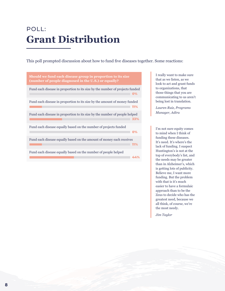# POLL: **Grant Distribution**

This poll prompted discussion about how to fund five diseases together. Some reactions:



I really want to make sure that as we listen, as we look to act and grant funds to organizations, that those things that you are communicating to us aren't being lost in translation.

*Lauren Ruiz, Programs Manager, Adira*

I'm not sure equity comes to mind when I think of funding these diseases. It's need. It's where's the lack of funding. I suspect Huntington's is not at the top of everybody's list, and the needs may be greater than in Alzheimer's, which is getting lots of publicity. Believe me, I want more funding. But the problem with that is it's much easier to have a formulaic approach than to be the Zeus to decide who has the greatest need, because we all think, of course, we're the most needy.

*Jim Taylor*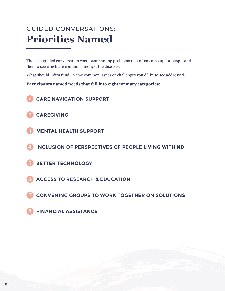# GUIDED CONVERSATIONS: **Priorities Named**

The next guided conversation was spent naming problems that often come up for people and then to see which are common amongst the diseases.

What should Adira fund? Name common issues or challenges you'd like to see addressed.

**Participants named needs that fell into eight primary categories:**

- **CARE NAVIGATION SUPPORT**
- **CAREGIVING**
- **MENTAL HEALTH SUPPORT**
- **INCLUSION OF PERSPECTIVES OF PEOPLE LIVING WITH ND**
- **BETTER TECHNOLOGY**
- **ACCESS TO RESEARCH & EDUCATION**
- **CONVENING GROUPS TO WORK TOGETHER ON SOLUTIONS**
- **FINANCIAL ASSISTANCE**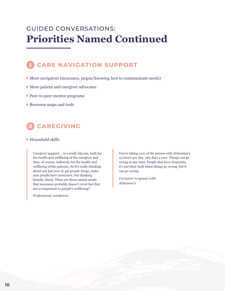## GUIDED CONVERSATIONS: **Priorities Named Continued**

## **CARE NAVIGATION SUPPORT**

- More navigators (insurance, jargon/knowing how to communicate needs)
- More patient and caregiver advocates
- Peer-to-peer mentor programs
- Resource maps and tools

## **CAREGIVING**

#### Household skills

Caregiver support … is a really big one, both for the health and wellbeing of the caregiver and then, of course, indirectly for the health and wellbeing of the patients. So it's really thinking about not just sort of, get people drugs, make sure people have insurance, but thinking broadly about: What are those unmet needs that insurance probably doesn't cover but that are so important to people's wellbeing?

*Professional, academics*

You're taking care of the person with Alzheimer's 24 hours per day, 365 days a year. Things can go wrong at any time. People that have dementia, it's not their fault when things go wrong, but it can go wrong.

*Caregiver to spouse with Alzheimer's*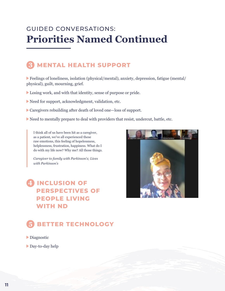## GUIDED CONVERSATIONS: **Priorities Named Continued**

## **MENTAL HEALTH SUPPORT**

Feelings of loneliness, isolation (physical/mental), anxiety, depression, fatigue (mental/ physical), guilt, mourning, grief.

- Losing work, and with that identity, sense of purpose or pride.
- Need for support, acknowledgment, validation, etc.
- Caregivers rebuilding after death of loved one—loss of support.
- Need to mentally prepare to deal with providers that resist, undercut, battle, etc.

I think all of us have been hit as a caregiver, as a patient, we've all experienced these raw emotions, this feeling of hopelessness, helplessness, frustration, happiness. What do I do with my life now? Why me? All those things.

*Caregiver to family with Parkinson's; Lives with Parkinson's*

## **INCLUSION OF PERSPECTIVES OF PEOPLE LIVING WITH ND**



## **BETTER TECHNOLOGY**

#### Diagnostic

Day-to-day help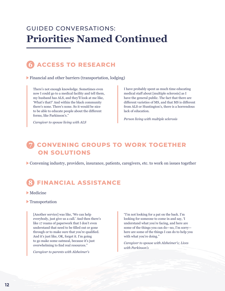## GUIDED CONVERSATIONS: **Priorities Named Continued**



Financial and other barriers (transportation, lodging)

There's not enough knowledge. Sometimes even now I could go to a medical facility and tell them, my husband has ALS, and they'll look at me like, 'What's that?' And within the black community there's none. There's none. So it would be nice to be able to educate people about the different forms, like Parkinson's."

I have probably spent as much time educating medical staff about [multiple sclerosis] as I have the general public. The fact that there are different varieties of MS, and that MS is different from ALS or Huntington's, there is a horrendous lack of education.

*Person living with multiple sclerosis*

*Caregiver to spouse living with ALS*

## **CONVENING GROUPS TO WORK TOGETHER ON SOLUTIONS**

Convening industry, providers, insurance, patients, caregivers, etc. to work on issues together

## **FINANCIAL ASSISTANCE**

#### Medicine

#### Transportation

[Another service] was like, 'We can help everybody, just give us a call.' And then there's like 17 reams of paperwork that I don't even understand that need to be filled out or gone through or to make sure that you're qualified. And it's just like, OK, forget it. I'm going to go make some oatmeal, because it's just overwhelming to find real resources."

*Caregiver to parents with Alzheimer's*

"I'm not looking for a pat on the back. I'm looking for someone to come in and say, 'I understand what you're facing, and here are some of the things you can do—no, I'm sorry here are some of the things I can do to help you with what you're doing."

*Caregiver to spouse with Alzheimer's; Lives with Parkinson's*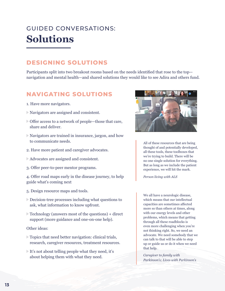# GUIDED CONVERSATIONS: **Solutions**

## **DESIGNING SOLUTIONS**

Participants split into two breakout rooms based on the needs identified that rose to the top navigation and mental health—and shared solutions they would like to see Adira and others fund.

### **NAVIGATING SOLUTIONS**

- 1. Have more navigators.
- Navigators are assigned and consistent.
- Offer access to a network of people—those that care, share and deliver.
- Navigators are trained in insurance, jargon, and how to communicate needs.
- 2. Have more patient and caregiver advocates.
- Advocates are assigned and consistent.
- 3. Offer peer-to-peer mentor programs.

4. Offer road maps early in the disease journey, to help guide what's coming next

- 5. Design resource maps and tools.
- Decision-tree processes including what questions to ask, what information to know upfront.
- Technology (answers most of the questions) + direct support (more guidance and one-on-one help).

Other ideas:

- Topics that need better navigation: clinical trials, research, caregiver resources, treatment resources.
- It's not about telling people what they need, it's about helping them with what they need.



All of these resources that are being thought of and potentially developed, all these tools, these toolboxes that we're trying to build. There will be no one single solution for everything. But as long as we include the patient experience, we will hit the mark.

*Person living with ALS*

We all have a neurologic disease, which means that our intellectual capacities are sometimes affected more so than others at times, along with our energy levels and other problems, which means that getting through all these roadblocks is even more challenging when you're not thinking right. So, we need an advocate. We need somebody that we can talk to that will be able to step up or guide us or do it when we need that help.

*Caregiver to family with Parkinson's; Lives with Parkinson's*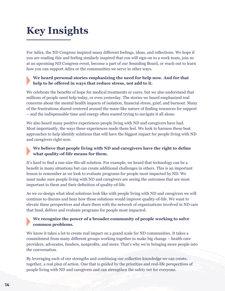# **Key Insights**

For Adira, the ND Congress inspired many different feelings, ideas, and reflections. We hope if you are reading this and feeling similarly inspired that you will sign-on to a work team, join us at an upcoming ND Congress event, become a part of our Sounding Board, or reach out to learn how you can support Adira or the communities we serve in other ways.

### **We heard personal stories emphasizing the need for help now. And for that help to be offered in ways that reduce stress, not add to it.**

We celebrate the benefits of hope for medical treatments or cures, but we also understand that millions of people need help today, or even yesterday. The stories we heard emphasized real concerns about the mental health impacts of isolation, financial stress, grief, and burnout. Many of the frustrations shared centered around the maze-like nature of finding resources for support – and the indispensable time and energy often wasted trying to navigate it all alone.

We also heard many positive experiences people living with ND and caregivers have had. Most importantly, the ways these experiences made them feel. We look to harness these best approaches to help identify solutions that will have the biggest impact for people living with ND and caregivers right now.

### **We believe that people living with ND and caregivers have the right to define what quality-of-life means for them.**

It's hard to find a one-size-fits-all solution. For example, we heard that technology can be a benefit in many situations but can create additional challenges in others. This is an important lesson to remember as we look to evaluate programs for people most impacted by ND. We must make sure people living with ND and caregivers are seeing the outcomes that are most important to them and their definition of quality-of-life.

As we co-design what ideal solutions look like with people living with ND and caregivers we will continue to discuss and hear how those solutions would improve quality-of-life. We want to elevate these perspectives and share them with the network of organizations involved in ND care that fund, deliver and evaluate programs for people most impacted.

### **We recognize the power of a broader community of people working to solve common problems.**

We know it takes a lot to create real impact on a grand scale for ND communities. It takes a commitment from many different groups working together to make big change – health care providers, advocates, funders, nonprofits, and more. That's why we're bringing more people into the conversation.

By leveraging each of our strengths and combining our collective knowledge we can create, together, a real plan of action. One that is guided by the priorities and real-life perspectives of people living with ND and caregivers and can strengthen the safety net for everyone.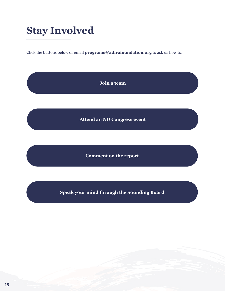# **Stay Involved**

Click the buttons below or email **programs@adirafoundation.org** to ask us how to:

**[Join a team](www.adirafoundation.org/nd-congress/)**

**[Attend an ND Congress event](www.adirafoundation.org/nd-congress/)**

**[Comment on the report](www.adirafoundation.org/listening-events/pilot-nd-congress/)**

**[Speak your mind through the Sounding Board](www.adirafoundation.org/join/shape-change-for-nd/)**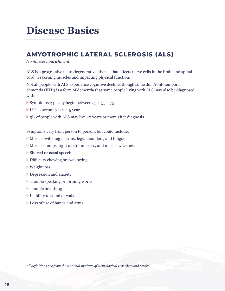# **Disease Basics**

### **AMYOTROPHIC LATERAL SCLEROSIS (ALS)**

#### *No muscle nourishment*

ALS is a progressive neurodegenerative disease that affects nerve cells in the brain and spinal cord, weakening muscles and impacting physical function.

Not all people with ALS experience cognitive decline, though some do. Frontotemporal dementia (FTD) is a form of dementia that some people living with ALS may also be diagnosed with.

- Symptoms typically begin between ages  $55 75$
- Life expectancy is  $2 5$  years
- $\triangleright$  5% of people with ALS may live 20 years or more after diagnosis

Symptoms vary from person to person, but could include:

- Muscle twitching in arms, legs, shoulders, and tongue
- Muscle cramps, tight or stiff muscles, and muscle weakness
- Slurred or nasal speech
- Difficulty chewing or swallowing
- Weight loss
- Depression and anxiety
- Trouble speaking or forming words
- $\triangleright$  Trouble breathing
- Inability to stand or walk
- Loss of use of hands and arms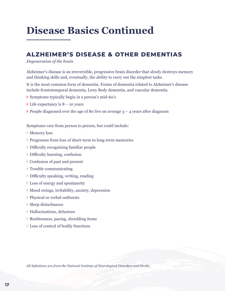### **ALZHEIMER'S DISEASE & OTHER DEMENTIAS**

#### *Degeneration of the brain*

Alzheimer's disease is an irreversible, progressive brain disorder that slowly destroys memory and thinking skills and, eventually, the ability to carry out the simplest tasks.

It is the most common form of dementia. Forms of dementia related to Alzheimer's disease include frontotemporal dementia, Lewy Body dementia, and vascular dementia.

- Symptoms typically begin in a person's mid-60's
- $\blacktriangleright$  Life expectancy is 8 10 years
- People diagnosed over the age of 80 live on average  $3 4$  years after diagnosis

Symptoms vary from person to person, but could include:

- Memory loss
- Progresses from loss of short-term to long-term memories
- Difficulty recognizing familiar people
- Difficulty learning, confusion
- Confusion of past and present
- Trouble communicating
- Difficulty speaking, writing, reading
- Loss of energy and spontaneity
- Mood swings, irritability, anxiety, depression
- Physical or verbal outbursts
- Sleep disturbances
- Hallucinations, delusions
- Restlessness, pacing, shredding items
- Loss of control of bodily functions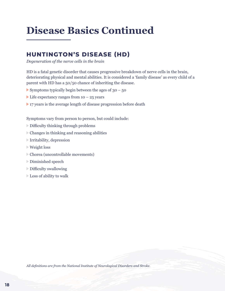### **HUNTINGTON'S DISEASE (HD)**

*Degeneration of the nerve cells in the brain*

HD is a fatal genetic disorder that causes progressive breakdown of nerve cells in the brain, deteriorating physical and mental abilities. It is considered a 'family disease' as every child of a parent with HD has a 50/50 chance of inheriting the disease.

- Symptoms typically begin between the ages of  $30 50$
- Life expectancy ranges from  $10 25$  years
- 17 years is the average length of disease progression before death

Symptoms vary from person to person, but could include:

- Difficulty thinking through problems
- Changes in thinking and reasoning abilities
- Irritability, depression
- Weight loss
- Chorea (uncontrollable movements)
- Diminished speech
- Difficulty swallowing
- Loss of ability to walk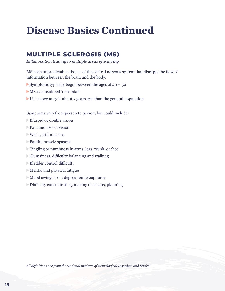### **MULTIPLE SCLEROSIS (MS)**

*Inflammation leading to multiple areas of scarring*

MS is an unpredictable disease of the central nervous system that disrupts the flow of information between the brain and the body.

- Symptoms typically begin between the ages of  $20 50$
- MS is considered 'non-fatal'
- Life expectancy is about 7 years less than the general population

Symptoms vary from person to person, but could include:

- Blurred or double vision
- Pain and loss of vision
- Weak, stiff muscles
- Painful muscle spasms
- Tingling or numbness in arms, legs, trunk, or face
- Clumsiness, difficulty balancing and walking
- Bladder control difficulty
- Mental and physical fatigue
- Mood swings from depression to euphoria
- Difficulty concentrating, making decisions, planning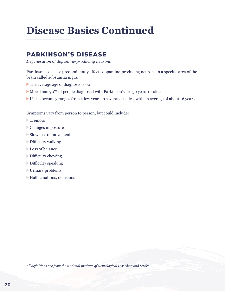### **PARKINSON'S DISEASE**

*Degeneration of dopamine-producing neurons*

Parkinson's disease predominantly affects dopamine-producing neurons in a specific area of the brain called substantia nigra.

- The average age of diagnosis is 60
- More than 90% of people diagnosed with Parkinson's are 50 years or older
- Life expectancy ranges from a few years to several decades, with an average of about 16 years

Symptoms vary from person to person, but could include:

- Tremors
- Changes in posture
- Slowness of movement
- Difficulty walking
- **Loss of balance**
- Difficulty chewing
- Difficulty speaking
- Urinary problems
- Hallucinations, delusions